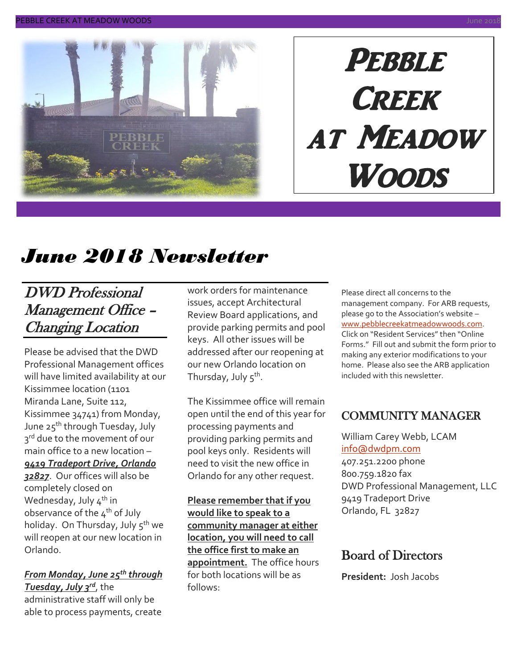

# **PEBBLE CREEK** at Meadow Woods

# *June 2018 Newsletter*

### DWD Professional Management Office – Changing Location

Please be advised that the DWD Professional Management offices will have limited availability at our Kissimmee location (1101 Miranda Lane, Suite 112, Kissimmee 34741) from Monday, June 25<sup>th</sup> through Tuesday, July 3<sup>rd</sup> due to the movement of our main office to a new location – *9419 Tradeport Drive, Orlando* 

*32827*. Our offices will also be completely closed on Wednesday, July  $4^{th}$  in observance of the  $4<sup>th</sup>$  of July holiday. On Thursday, July 5<sup>th</sup> we will reopen at our new location in Orlando.

#### *From Monday, June 25th through Tuesday, July 3rd*, the

administrative staff will only be able to process payments, create work orders for maintenance issues, accept Architectural Review Board applications, and provide parking permits and pool keys. All other issues will be addressed after our reopening at our new Orlando location on Thursday, July 5<sup>th</sup>.

The Kissimmee office will remain open until the end of this year for processing payments and providing parking permits and pool keys only. Residents will need to visit the new office in Orlando for any other request.

**Please remember that if you would like to speak to a community manager at either location, you will need to call the office first to make an appointment.** The office hours for both locations will be as follows:

Please direct all concerns to the management company. For ARB requests, please go to the Association's website – [www.pebblecreekatmeadowwoods.com.](http://www.pebblecreekatmeadowwoods.com/) Click on "Resident Services" then "Online Forms." Fill out and submit the form prior to making any exterior modifications to your home. Please also see the ARB application included with this newsletter.

### COMMUNITY MANAGER

William Carey Webb, LCAM [info@dwdpm.com](mailto:info@dwdpm.com)  407.251.2200 phone 800.759.1820 fax DWD Professional Management, LLC 9419 Tradeport Drive Orlando, FL 32827

### Board of Directors

**President:** Josh Jacobs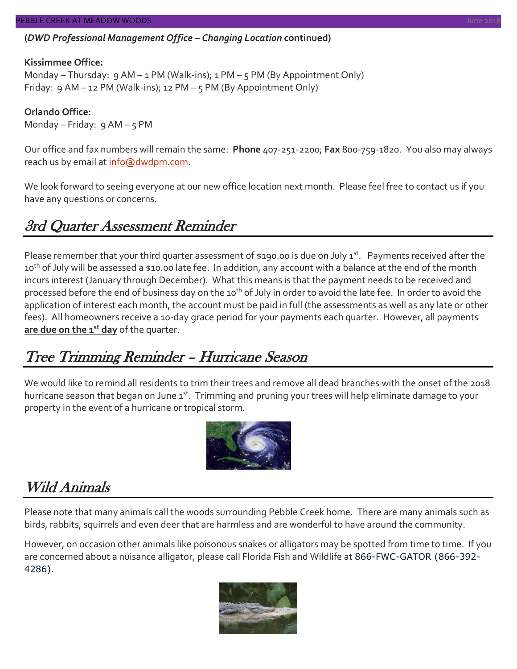#### PEBBLE CREEK AT MEADOW WOODS

#### **(***DWD Professional Management Office – Changing Location* **continued)**

#### **Kissimmee Office:**

Monday – Thursday: 9 AM – 1 PM (Walk-ins); 1 PM – 5 PM (By Appointment Only) Friday: 9 AM – 12 PM (Walk-ins); 12 PM – 5 PM (By Appointment Only)

**Orlando Office:** Monday – Friday: 9 AM – 5 PM

Our office and fax numbers will remain the same: **Phone** 407-251-2200; **Fax** 800-759-1820. You also may always reach us by email at [info@dwdpm.com.](mailto:info@dwdpm.com)

We look forward to seeing everyone at our new office location next month. Please feel free to contact us if you have any questions or concerns.

#### 3rd Quarter Assessment Reminder

Please remember that your third quarter assessment of \$190.00 is due on July 1<sup>st</sup>. Payments received after the 10<sup>th</sup> of July will be assessed a \$10.00 late fee. In addition, any account with a balance at the end of the month incurs interest (January through December). What this means is that the payment needs to be received and processed before the end of business day on the 10<sup>th</sup> of July in order to avoid the late fee. In order to avoid the application of interest each month, the account must be paid in full (the assessments as well as any late or other fees). All homeowners receive a 10-day grace period for your payments each quarter. However, all payments **are due on the 1st day** of the quarter.

### Tree Trimming Reminder – Hurricane Season

We would like to remind all residents to trim their trees and remove all dead branches with the onset of the 2018 hurricane season that began on June 1<sup>st</sup>. Trimming and pruning your trees will help eliminate damage to your property in the event of a hurricane or tropical storm.



### Wild Animals

Please note that many animals call the woods surrounding Pebble Creek home. There are many animals such as birds, rabbits, squirrels and even deer that are harmless and are wonderful to have around the community.

However, on occasion other animals like poisonous snakes or alligators may be spotted from time to time. If you are concerned about a nuisance alligator, please call Florida Fish and Wildlife at 866-FWC-GATOR (866-392- 4286).

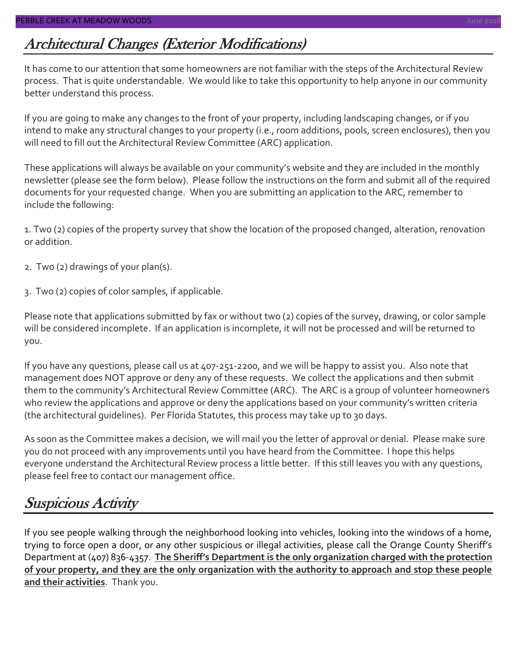# Architectural Changes (Exterior Modifications)

It has come to our attention that some homeowners are not familiar with the steps of the Architectural Review process. That is quite understandable. We would like to take this opportunity to help anyone in our community better understand this process.

If you are going to make any changes to the front of your property, including landscaping changes, or if you intend to make any structural changes to your property (i.e., room additions, pools, screen enclosures), then you will need to fill out the Architectural Review Committee (ARC) application.

These applications will always be available on your community's website and they are included in the monthly newsletter (please see the form below). Please follow the instructions on the form and submit all of the required documents for your requested change. When you are submitting an application to the ARC, remember to include the following:

1. Two (2) copies of the property survey that show the location of the proposed changed, alteration, renovation or addition.

- 2. Two (2) drawings of your plan(s).
- 3. Two (2) copies of color samples, if applicable.

Please note that applications submitted by fax or without two (2) copies of the survey, drawing, or color sample will be considered incomplete. If an application is incomplete, it will not be processed and will be returned to you.

If you have any questions, please call us at 407-251-2200, and we will be happy to assist you. Also note that management does NOT approve or deny any of these requests. We collect the applications and then submit them to the community's Architectural Review Committee (ARC). The ARC is a group of volunteer homeowners who review the applications and approve or deny the applications based on your community's written criteria (the architectural guidelines). Per Florida Statutes, this process may take up to 30 days.

As soon as the Committee makes a decision, we will mail you the letter of approval or denial. Please make sure you do not proceed with any improvements until you have heard from the Committee. I hope this helps everyone understand the Architectural Review process a little better. If this still leaves you with any questions, please feel free to contact our management office.

# Suspicious Activity

If you see people walking through the neighborhood looking into vehicles, looking into the windows of a home, trying to force open a door, or any other suspicious or illegal activities, please call the Orange County Sheriff's Department at (407) 836-4357. **The Sheriff's Department is the only organization charged with the protection of your property, and they are the only organization with the authority to approach and stop these people and their activities**. Thank you.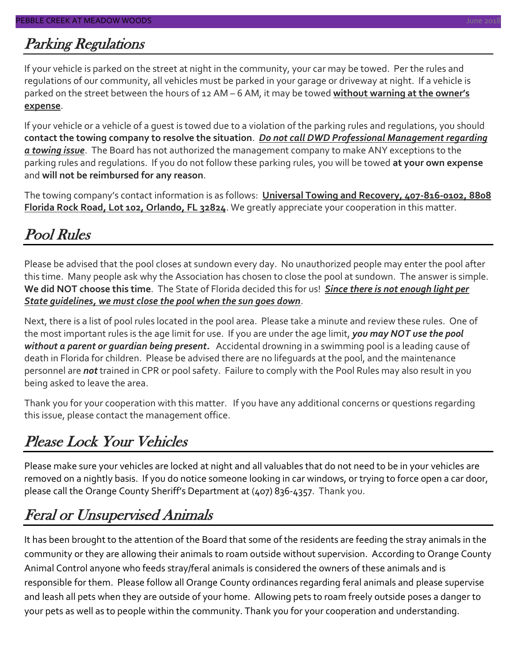# Parking Regulations

If your vehicle is parked on the street at night in the community, your car may be towed. Per the rules and regulations of our community, all vehicles must be parked in your garage or driveway at night. If a vehicle is parked on the street between the hours of 12 AM – 6 AM, it may be towed **without warning at the owner's expense**.

If your vehicle or a vehicle of a guest is towed due to a violation of the parking rules and regulations, you should **contact the towing company to resolve the situation**. *Do not call DWD Professional Management regarding a towing issue*. The Board has not authorized the management company to make ANY exceptions to the parking rules and regulations. If you do not follow these parking rules, you will be towed **at your own expense** and **will not be reimbursed for any reason**.

The towing company's contact information is as follows: **Universal Towing and Recovery, 407-816-0102, 8808 Florida Rock Road, Lot 102, Orlando, FL 32824**. We greatly appreciate your cooperation in this matter.

# Pool Rules

Please be advised that the pool closes at sundown every day. No unauthorized people may enter the pool after this time. Many people ask why the Association has chosen to close the pool at sundown. The answer is simple. **We did NOT choose this time**. The State of Florida decided this for us! *Since there is not enough light per State guidelines, we must close the pool when the sun goes down*.

Next, there is a list of pool rules located in the pool area. Please take a minute and review these rules. One of the most important rules is the age limit for use. If you are under the age limit, *you may NOT use the pool without a parent or guardian being present.* Accidental drowning in a swimming pool is a leading cause of death in Florida for children. Please be advised there are no lifeguards at the pool, and the maintenance personnel are *not* trained in CPR or pool safety. Failure to comply with the Pool Rules may also result in you being asked to leave the area.

Thank you for your cooperation with this matter. If you have any additional concerns or questions regarding this issue, please contact the management office.

# Please Lock Your Vehicles

Please make sure your vehicles are locked at night and all valuables that do not need to be in your vehicles are removed on a nightly basis. If you do notice someone looking in car windows, or trying to force open a car door, please call the Orange County Sheriff's Department at (407) 836-4357. Thank you.

## Feral or Unsupervised Animals

It has been brought to the attention of the Board that some of the residents are feeding the stray animals in the community or they are allowing their animals to roam outside without supervision. According to Orange County Animal Control anyone who feeds stray/feral animals is considered the owners of these animals and is responsible for them. Please follow all Orange County ordinances regarding feral animals and please supervise and leash all pets when they are outside of your home. Allowing pets to roam freely outside poses a danger to your pets as well as to people within the community. Thank you for your cooperation and understanding.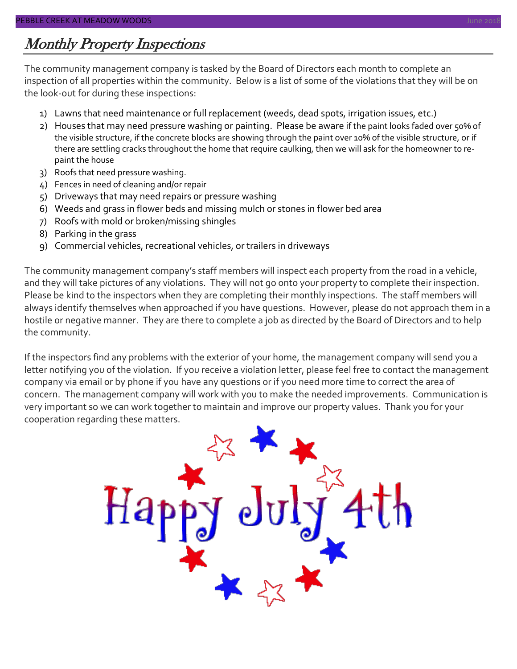### Monthly Property Inspections

The community management company is tasked by the Board of Directors each month to complete an inspection of all properties within the community. Below is a list of some of the violations that they will be on the look-out for during these inspections:

- 1) Lawns that need maintenance or full replacement (weeds, dead spots, irrigation issues, etc.)
- 2) Houses that may need pressure washing or painting. Please be aware if the paint looks faded over 50% of the visible structure, if the concrete blocks are showing through the paint over 10% of the visible structure, or if there are settling cracks throughout the home that require caulking, then we will ask for the homeowner to repaint the house
- 3) Roofs that need pressure washing.
- 4) Fences in need of cleaning and/or repair
- 5) Driveways that may need repairs or pressure washing
- 6) Weeds and grass in flower beds and missing mulch or stones in flower bed area
- 7) Roofs with mold or broken/missing shingles
- 8) Parking in the grass
- 9) Commercial vehicles, recreational vehicles, or trailers in driveways

The community management company's staff members will inspect each property from the road in a vehicle, and they will take pictures of any violations. They will not go onto your property to complete their inspection. Please be kind to the inspectors when they are completing their monthly inspections. The staff members will always identify themselves when approached if you have questions. However, please do not approach them in a hostile or negative manner. They are there to complete a job as directed by the Board of Directors and to help the community.

If the inspectors find any problems with the exterior of your home, the management company will send you a letter notifying you of the violation. If you receive a violation letter, please feel free to contact the management company via email or by phone if you have any questions or if you need more time to correct the area of concern. The management company will work with you to make the needed improvements. Communication is very important so we can work together to maintain and improve our property values. Thank you for your cooperation regarding these matters.

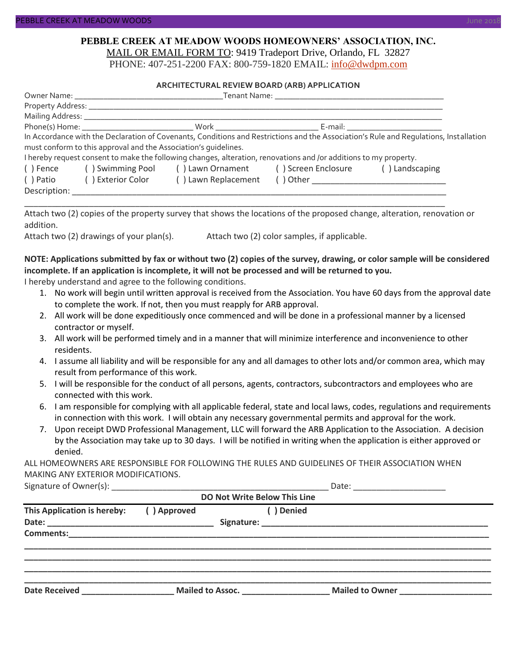#### **PEBBLE CREEK AT MEADOW WOODS HOMEOWNERS' ASSOCIATION, INC.** MAIL OR EMAIL FORM TO: 9419 Tradeport Drive, Orlando, FL 32827

PHONE: 407-251-2200 FAX: 800-759-1820 EMAIL: [info@dwdpm.com](mailto:info@dwdpm.com)

#### **ARCHITECTURAL REVIEW BOARD (ARB) APPLICATION**

|              |                                                                 |                                                                                                                   | In Accordance with the Declaration of Covenants, Conditions and Restrictions and the Association's Rule and Requlations, Installation |  |
|--------------|-----------------------------------------------------------------|-------------------------------------------------------------------------------------------------------------------|---------------------------------------------------------------------------------------------------------------------------------------|--|
|              | must conform to this approval and the Association's quidelines. |                                                                                                                   |                                                                                                                                       |  |
|              |                                                                 | I hereby request consent to make the following changes, alteration, renovations and /or additions to my property. |                                                                                                                                       |  |
|              |                                                                 | () Fence () Swimming Pool () Lawn Ornament () Screen Enclosure                                                    | () Landscaping                                                                                                                        |  |
|              | () Patio () Exterior Color                                      | () Lawn Replacement                                                                                               |                                                                                                                                       |  |
| Description: |                                                                 |                                                                                                                   |                                                                                                                                       |  |

Attach two (2) copies of the property survey that shows the locations of the proposed change, alteration, renovation or addition.

\_\_\_\_\_\_\_\_\_\_\_\_\_\_\_\_\_\_\_\_\_\_\_\_\_\_\_\_\_\_\_\_\_\_\_\_\_\_\_\_\_\_\_\_\_\_\_\_\_\_\_\_\_\_\_\_\_\_\_\_\_\_\_\_\_\_\_\_\_\_\_\_\_\_\_\_\_\_\_\_\_\_\_\_\_\_\_\_\_\_\_

Attach two (2) drawings of your plan(s). Attach two (2) color samples, if applicable.

#### **NOTE: Applications submitted by fax or without two (2) copies of the survey, drawing, or color sample will be considered incomplete. If an application is incomplete, it will not be processed and will be returned to you.**

I hereby understand and agree to the following conditions.

- 1. No work will begin until written approval is received from the Association. You have 60 days from the approval date to complete the work. If not, then you must reapply for ARB approval.
- 2. All work will be done expeditiously once commenced and will be done in a professional manner by a licensed contractor or myself.
- 3. All work will be performed timely and in a manner that will minimize interference and inconvenience to other residents.
- 4. I assume all liability and will be responsible for any and all damages to other lots and/or common area, which may result from performance of this work.
- 5. I will be responsible for the conduct of all persons, agents, contractors, subcontractors and employees who are connected with this work.
- 6. I am responsible for complying with all applicable federal, state and local laws, codes, regulations and requirements in connection with this work. I will obtain any necessary governmental permits and approval for the work.
- 7. Upon receipt DWD Professional Management, LLC will forward the ARB Application to the Association. A decision by the Association may take up to 30 days. I will be notified in writing when the application is either approved or denied.

ALL HOMEOWNERS ARE RESPONSIBLE FOR FOLLOWING THE RULES AND GUIDELINES OF THEIR ASSOCIATION WHEN MAKING ANY EXTERIOR MODIFICATIONS.

| Signature of Owner(s): |  |
|------------------------|--|
|------------------------|--|

| <b>DO Not Write Below This Line</b> |             |                  |                        |  |  |  |
|-------------------------------------|-------------|------------------|------------------------|--|--|--|
| This Application is hereby:         | () Approved | Denied           |                        |  |  |  |
| <b>Comments:</b>                    |             |                  |                        |  |  |  |
| <b>Date Received</b>                |             | Mailed to Assoc. | <b>Mailed to Owner</b> |  |  |  |